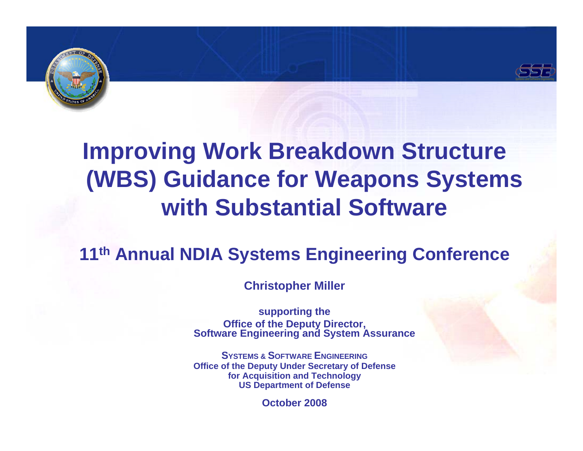



## **Improving Work Breakdown Structure (WBS) Guidance for Weapons Systems with Substantial Software**

### **11th Annual NDIA Systems Engineering Conference**

**Christopher Miller** 

**supporting the Office of the Deputy Director, Software Engineering and System Assurance**

**SYSTEMS & SOFTWARE ENGINEERINGOffice of the Deputy Under Secretary of Defense for Acquisition and Technology US Department of Defense**

**October 2008**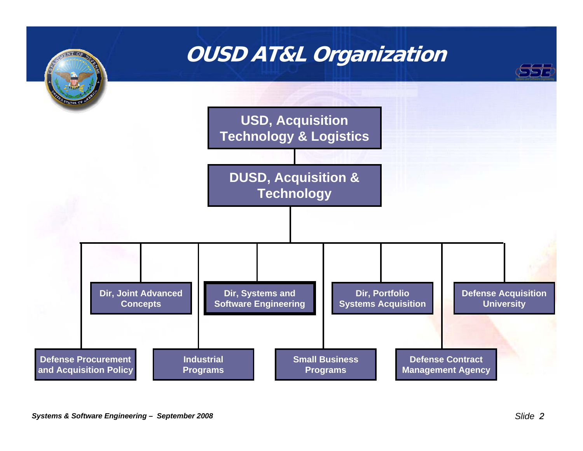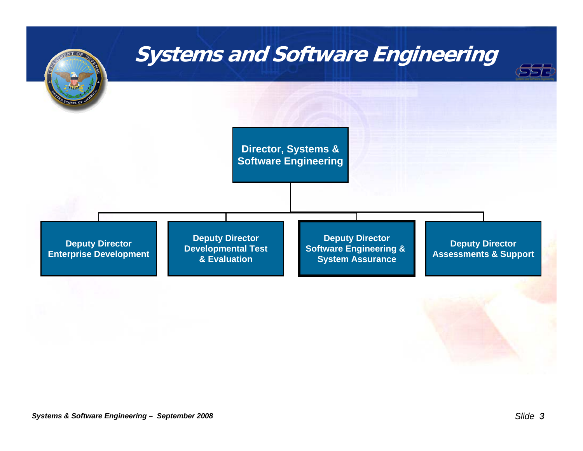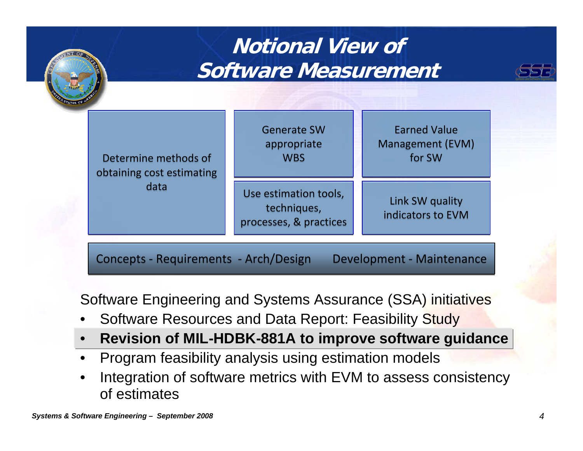

### Software Engineering and Systems Assurance (SSA) initiatives

- •Software Resources and Data Report: Feasibility Study
- •**Revision of MIL-HDBK-881A to improve software guidance**
- •Program feasibility analysis using estimation models
- • Integration of software metrics with EVM to assess consistency of estimates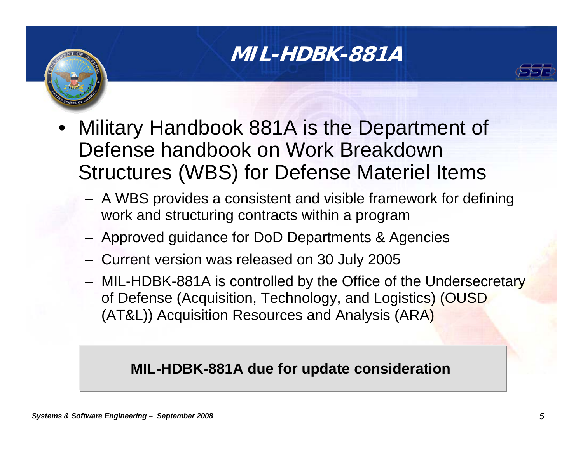### **MIL-HDBK-881A**



- Military Handbook 881A is the Department of Defense handbook on Work Breakdown Structures (WBS) for Defense Materiel Items
	- A WBS provides a consistent and visible framework for defining work and structuring contracts within a program
	- Approved guidance for DoD Departments & Agencies
	- Current version was released on 30 July 2005
	- MIL-HDBK-881A is controlled by the Office of the Undersecretary of Defense (Acquisition, Technology, and Logistics) (OUSD (AT&L)) Acquisition Resources and Analysis (ARA)

#### **MIL-HDBK-881A due for update consideration**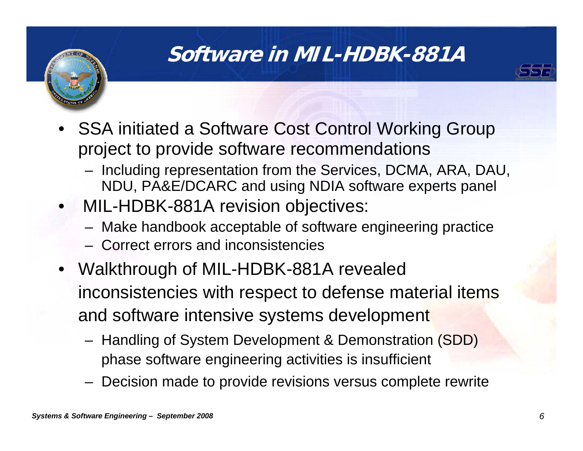### **Software in MIL-HDBK-881A**



- SSA initiated a Software Cost Control Working Group project to provide software recommendations
	- Including representation from the Services, DCMA, ARA, DAU, NDU, PA&E/DCARC and using NDIA software experts panel
- MIL-HDBK-881A revision objectives:
	- Make handbook acceptable of software engineering practice
	- Correct errors and inconsistencies
- Walkthrough of MIL-HDBK-881A revealed inconsistencies with respect to defense material items and software intensive systems development
	- Handling of System Development & Demonstration (SDD) phase software engineering activities is insufficient
	- Decision made to provide revisions versus complete rewrite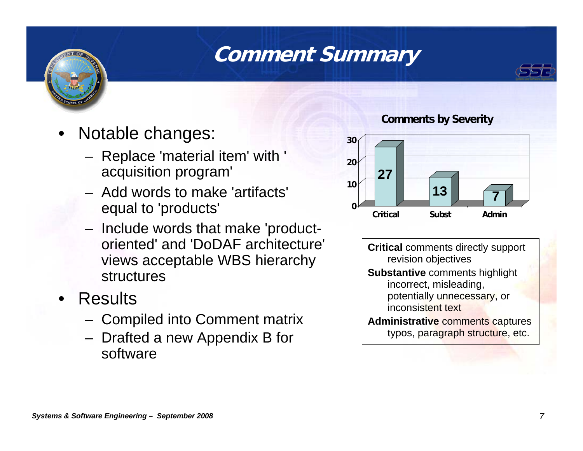### **Comment Summary**





- • Notable changes:
	- Replace 'material item' with ' acquisition program'
	- Add words to make 'artifacts' equal to 'products'
	- Include words that make 'productoriented' and 'DoDAF architecture' views acceptable WBS hierarchy structures
- Results
	- Compiled into Comment matrix
	- Drafted a new Appendix B for software

#### **Comments by Severity**



**Critical** comments directly support revision objectives **Substantive** comments highlight incorrect, misleading, potentially unnecessary, or inconsistent text**Administrative** comments captures

typos, paragraph structure, etc.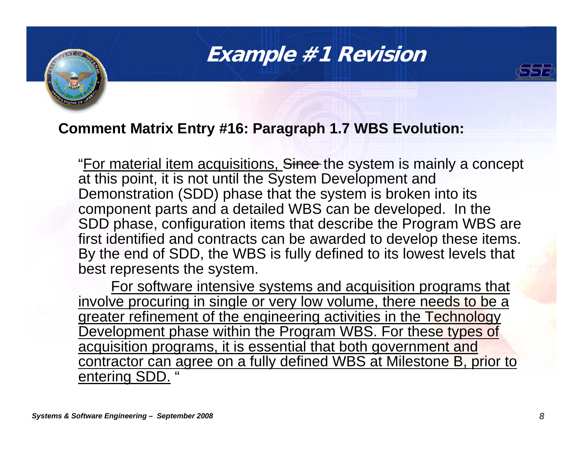### **Example #1 Revision**



#### **Comment Matrix Entry #16: Paragraph 1.7 WBS Evolution:**

"For material item acquisitions, Since the system is mainly a concept at this point, it is not until the System Development and Demonstration (SDD) phase that the system is broken into its component parts and a detailed WBS can be developed. In the SDD phase, configuration items that describe the Program WBS are first identified and contracts can be awarded to develop these items. By the end of SDD, the WBS is fully defined to its lowest levels that best represents the system.

For software intensive systems and acquisition programs that involve procuring in single or very low volume, there needs to be a greater refinement of the engineering activities in the Technology Development phase within the Program WBS. For these types of acquisition programs, it is essential that both government and contractor can agree on a fully defined WBS at Milestone B, prior to entering SDD.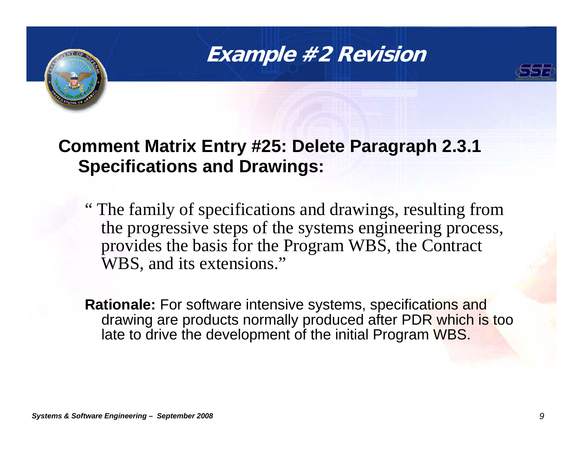### **Example #2 Revision**



### **Comment Matrix Entry #25: Delete Paragraph 2.3.1 Specifications and Drawings:**

" The family of specifications and drawings, resulting from the progressive steps of the systems engineering process, provides the basis for the Program WBS, the Contract WBS, and its extensions."

**Rationale:** For software intensive systems, specifications and drawing are products normally produced after PDR which is too late to drive the development of the initial Program WBS.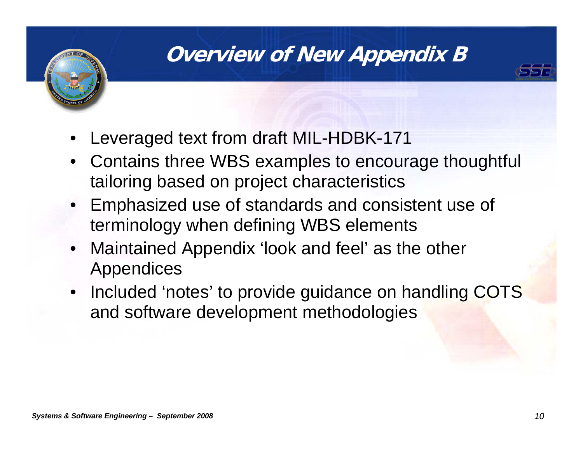# **Overview of New Appendix B**



- •Leveraged text from draft MIL-HDBK-171
- Contains three WBS examples to encourage thoughtful tailoring based on project characteristics
- Emphasized use of standards and consistent use of terminology when defining WBS elements
- $\bullet$  Maintained Appendix 'look and feel' as the other Appendices
- Included 'notes' to provide guidance on handling COTS and software development methodologies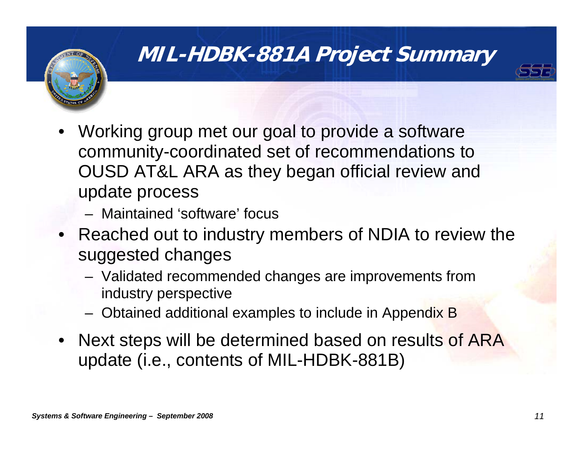

### **MIL-HDBK-881A Project Summary**



- Working group met our goal to provide a software community-coordinated set of recommendations to OUSD AT&L ARA as they began official review and update process
	- Maintained 'software' focus
- Reached out to industry members of NDIA to review the suggested changes
	- Validated recommended changes are improvements from industry perspective
	- Obtained additional examples to include in Appendix B
- Next steps will be determined based on results of ARA update (i.e., contents of MIL-HDBK-881B)